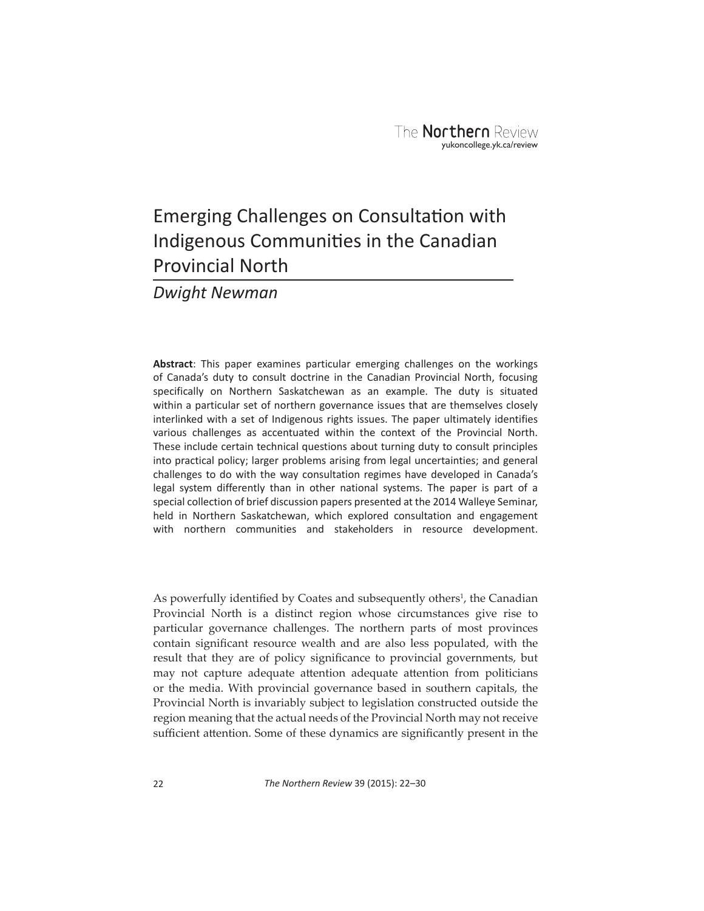## Emerging Challenges on Consultation with Indigenous Communities in the Canadian Provincial North

## *Dwight Newman*

**Abstract**: This paper examines particular emerging challenges on the workings of Canada's duty to consult doctrine in the Canadian Provincial North, focusing specifically on Northern Saskatchewan as an example. The duty is situated within a particular set of northern governance issues that are themselves closely interlinked with a set of Indigenous rights issues. The paper ultimately identifies various challenges as accentuated within the context of the Provincial North. These include certain technical questions about turning duty to consult principles into practical policy; larger problems arising from legal uncertainties; and general challenges to do with the way consultation regimes have developed in Canada's legal system differently than in other national systems. The paper is part of a special collection of brief discussion papers presented at the 2014 Walleye Seminar, held in Northern Saskatchewan, which explored consultation and engagement with northern communities and stakeholders in resource development.

As powerfully identified by Coates and subsequently others<sup>1</sup>, the Canadian Provincial North is a distinct region whose circumstances give rise to particular governance challenges. The northern parts of most provinces contain significant resource wealth and are also less populated, with the result that they are of policy significance to provincial governments, but may not capture adequate attention adequate attention from politicians or the media. With provincial governance based in southern capitals, the Provincial North is invariably subject to legislation constructed outside the region meaning that the actual needs of the Provincial North may not receive sufficient attention. Some of these dynamics are significantly present in the

22 *The Northern Review* 39 (2015): 22–30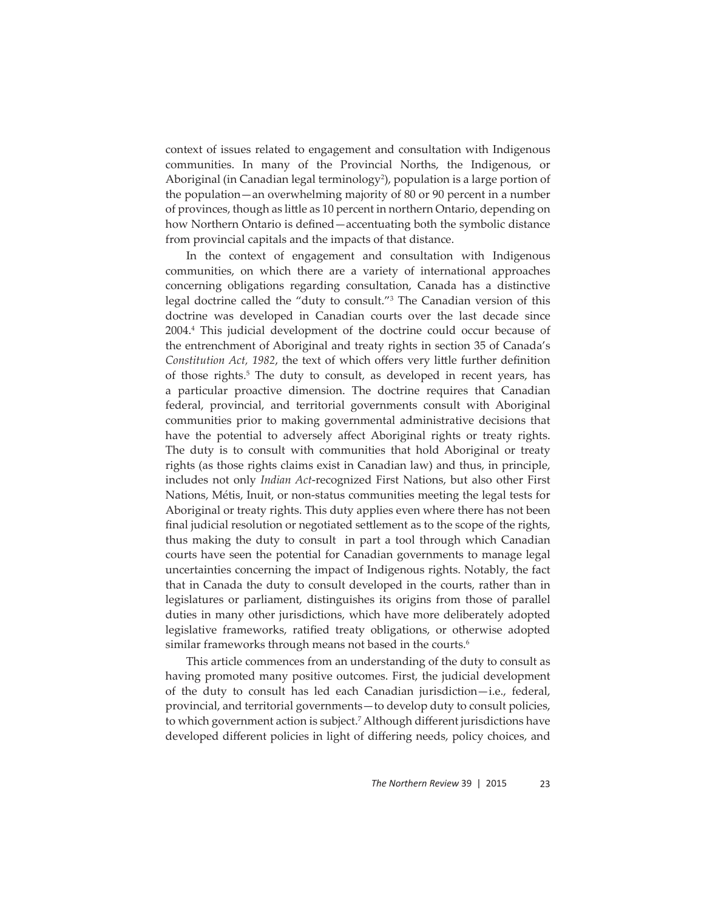context of issues related to engagement and consultation with Indigenous communities. In many of the Provincial Norths, the Indigenous, or Aboriginal (in Canadian legal terminology<sup>2</sup>), population is a large portion of the population—an overwhelming majority of 80 or 90 percent in a number of provinces, though as little as 10 percent in northern Ontario, depending on how Northern Ontario is defined—accentuating both the symbolic distance from provincial capitals and the impacts of that distance.

In the context of engagement and consultation with Indigenous communities, on which there are a variety of international approaches concerning obligations regarding consultation, Canada has a distinctive legal doctrine called the "duty to consult."3 The Canadian version of this doctrine was developed in Canadian courts over the last decade since 2004.4 This judicial development of the doctrine could occur because of the entrenchment of Aboriginal and treaty rights in section 35 of Canada's *Constitution Act, 1982, the text of which offers very little further definition* of those rights.<sup>5</sup> The duty to consult, as developed in recent years, has a particular proactive dimension. The doctrine requires that Canadian federal, provincial, and territorial governments consult with Aboriginal communities prior to making governmental administrative decisions that have the potential to adversely affect Aboriginal rights or treaty rights. The duty is to consult with communities that hold Aboriginal or treaty rights (as those rights claims exist in Canadian law) and thus, in principle, includes not only *Indian Act*-recognized First Nations, but also other First Nations, Métis, Inuit, or non-status communities meeting the legal tests for Aboriginal or treaty rights. This duty applies even where there has not been final judicial resolution or negotiated settlement as to the scope of the rights, thus making the duty to consult in part a tool through which Canadian courts have seen the potential for Canadian governments to manage legal uncertainties concerning the impact of Indigenous rights. Notably, the fact that in Canada the duty to consult developed in the courts, rather than in legislatures or parliament, distinguishes its origins from those of parallel duties in many other jurisdictions, which have more deliberately adopted legislative frameworks, ratified treaty obligations, or otherwise adopted similar frameworks through means not based in the courts.<sup>6</sup>

This article commences from an understanding of the duty to consult as having promoted many positive outcomes. First, the judicial development of the duty to consult has led each Canadian jurisdiction—i.e., federal, provincial, and territorial governments—to develop duty to consult policies, to which government action is subject.<sup>7</sup> Although different jurisdictions have developed different policies in light of differing needs, policy choices, and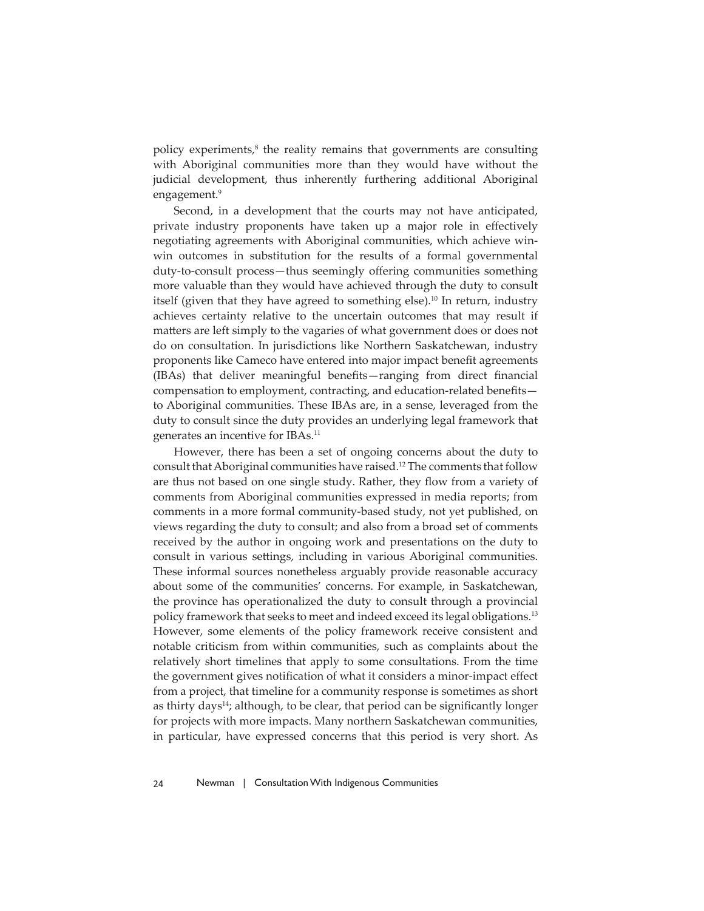policy experiments, $<sup>8</sup>$  the reality remains that governments are consulting</sup> with Aboriginal communities more than they would have without the judicial development, thus inherently furthering additional Aboriginal engagement.<sup>9</sup>

Second, in a development that the courts may not have anticipated, private industry proponents have taken up a major role in effectively negotiating agreements with Aboriginal communities, which achieve winwin outcomes in substitution for the results of a formal governmental duty-to-consult process-thus seemingly offering communities something more valuable than they would have achieved through the duty to consult itself (given that they have agreed to something else).<sup>10</sup> In return, industry achieves certainty relative to the uncertain outcomes that may result if matters are left simply to the vagaries of what government does or does not do on consultation. In jurisdictions like Northern Saskatchewan, industry proponents like Cameco have entered into major impact benefit agreements (IBAs) that deliver meaningful benefits—ranging from direct financial compensation to employment, contracting, and education-related benefitsto Aboriginal communities. These IBAs are, in a sense, leveraged from the duty to consult since the duty provides an underlying legal framework that generates an incentive for IBAs.11

However, there has been a set of ongoing concerns about the duty to consult that Aboriginal communities have raised.12 The comments that follow are thus not based on one single study. Rather, they flow from a variety of comments from Aboriginal communities expressed in media reports; from comments in a more formal community-based study, not yet published, on views regarding the duty to consult; and also from a broad set of comments received by the author in ongoing work and presentations on the duty to consult in various settings, including in various Aboriginal communities. These informal sources nonetheless arguably provide reasonable accuracy about some of the communities' concerns. For example, in Saskatchewan, the province has operationalized the duty to consult through a provincial policy framework that seeks to meet and indeed exceed its legal obligations.13 However, some elements of the policy framework receive consistent and notable criticism from within communities, such as complaints about the relatively short timelines that apply to some consultations. From the time the government gives notification of what it considers a minor-impact effect from a project, that timeline for a community response is sometimes as short as thirty days<sup>14</sup>; although, to be clear, that period can be significantly longer for projects with more impacts. Many northern Saskatchewan communities, in particular, have expressed concerns that this period is very short. As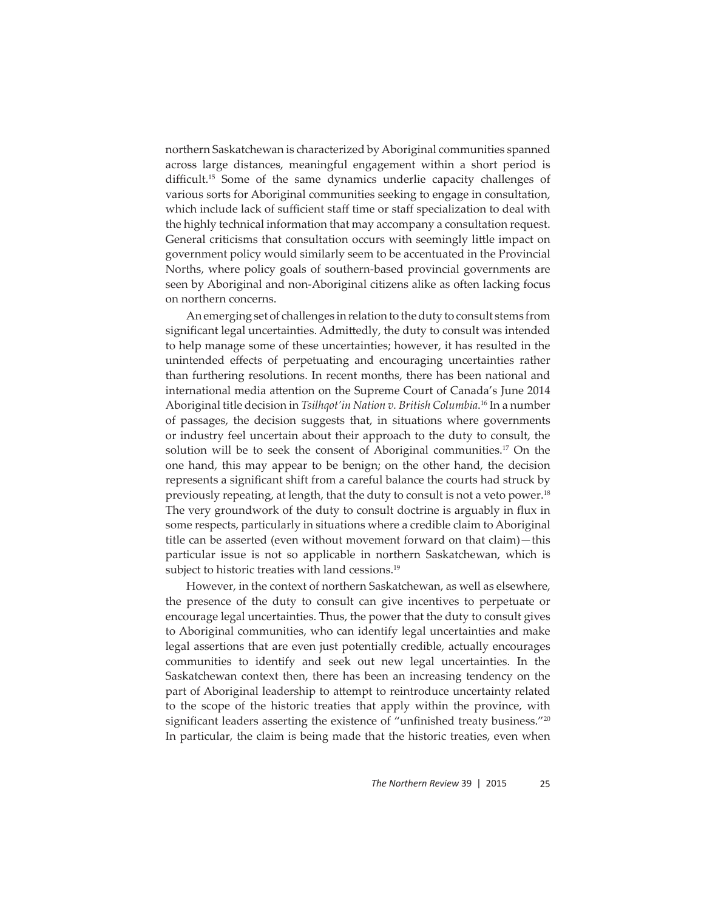northern Saskatchewan is characterized by Aboriginal communities spanned across large distances, meaningful engagement within a short period is difficult.<sup>15</sup> Some of the same dynamics underlie capacity challenges of various sorts for Aboriginal communities seeking to engage in consultation, which include lack of sufficient staff time or staff specialization to deal with the highly technical information that may accompany a consultation request. General criticisms that consultation occurs with seemingly little impact on government policy would similarly seem to be accentuated in the Provincial Norths, where policy goals of southern-based provincial governments are seen by Aboriginal and non-Aboriginal citizens alike as often lacking focus on northern concerns.

An emerging set of challenges in relation to the duty to consult stems from significant legal uncertainties. Admittedly, the duty to consult was intended to help manage some of these uncertainties; however, it has resulted in the unintended effects of perpetuating and encouraging uncertainties rather than furthering resolutions. In recent months, there has been national and international media attention on the Supreme Court of Canada's June 2014 Aboriginal title decision in *Tsilhqot'in Nation v. British Columbia*. 16 In a number of passages, the decision suggests that, in situations where governments or industry feel uncertain about their approach to the duty to consult, the solution will be to seek the consent of Aboriginal communities.17 On the one hand, this may appear to be benign; on the other hand, the decision represents a significant shift from a careful balance the courts had struck by previously repeating, at length, that the duty to consult is not a veto power.18 The very groundwork of the duty to consult doctrine is arguably in flux in some respects, particularly in situations where a credible claim to Aboriginal title can be asserted (even without movement forward on that claim)—this particular issue is not so applicable in northern Saskatchewan, which is subject to historic treaties with land cessions.<sup>19</sup>

However, in the context of northern Saskatchewan, as well as elsewhere, the presence of the duty to consult can give incentives to perpetuate or encourage legal uncertainties. Thus, the power that the duty to consult gives to Aboriginal communities, who can identify legal uncertainties and make legal assertions that are even just potentially credible, actually encourages communities to identify and seek out new legal uncertainties. In the Saskatchewan context then, there has been an increasing tendency on the part of Aboriginal leadership to attempt to reintroduce uncertainty related to the scope of the historic treaties that apply within the province, with significant leaders asserting the existence of "unfinished treaty business."<sup>20</sup> In particular, the claim is being made that the historic treaties, even when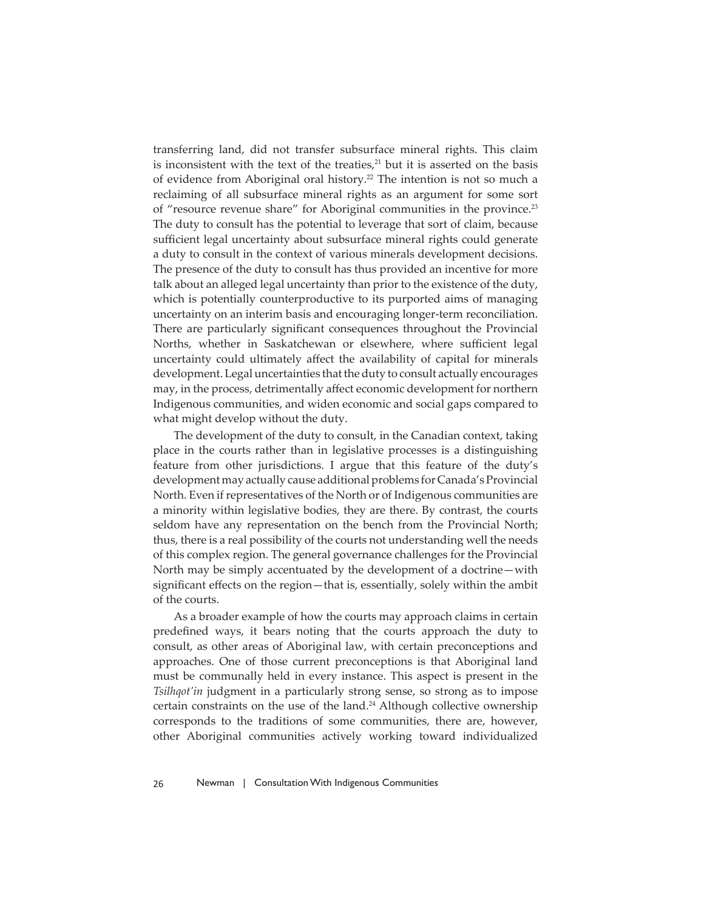transferring land, did not transfer subsurface mineral rights. This claim is inconsistent with the text of the treaties, $21$  but it is asserted on the basis of evidence from Aboriginal oral history.22 The intention is not so much a reclaiming of all subsurface mineral rights as an argument for some sort of "resource revenue share" for Aboriginal communities in the province.<sup>23</sup> The duty to consult has the potential to leverage that sort of claim, because sufficient legal uncertainty about subsurface mineral rights could generate a duty to consult in the context of various minerals development decisions. The presence of the duty to consult has thus provided an incentive for more talk about an alleged legal uncertainty than prior to the existence of the duty, which is potentially counterproductive to its purported aims of managing uncertainty on an interim basis and encouraging longer-term reconciliation. There are particularly significant consequences throughout the Provincial Norths, whether in Saskatchewan or elsewhere, where sufficient legal uncertainty could ultimately affect the availability of capital for minerals development. Legal uncertainties that the duty to consult actually encourages may, in the process, detrimentally affect economic development for northern Indigenous communities, and widen economic and social gaps compared to what might develop without the duty.

The development of the duty to consult, in the Canadian context, taking place in the courts rather than in legislative processes is a distinguishing feature from other jurisdictions. I argue that this feature of the duty's development may actually cause additional problems for Canada's Provincial North. Even if representatives of the North or of Indigenous communities are a minority within legislative bodies, they are there. By contrast, the courts seldom have any representation on the bench from the Provincial North; thus, there is a real possibility of the courts not understanding well the needs of this complex region. The general governance challenges for the Provincial North may be simply accentuated by the development of a doctrine—with significant effects on the region—that is, essentially, solely within the ambit of the courts.

As a broader example of how the courts may approach claims in certain predefined ways, it bears noting that the courts approach the duty to consult, as other areas of Aboriginal law, with certain preconceptions and approaches. One of those current preconceptions is that Aboriginal land must be communally held in every instance. This aspect is present in the *Tsilhqot'in* judgment in a particularly strong sense, so strong as to impose certain constraints on the use of the land.<sup>24</sup> Although collective ownership corresponds to the traditions of some communities, there are, however, other Aboriginal communities actively working toward individualized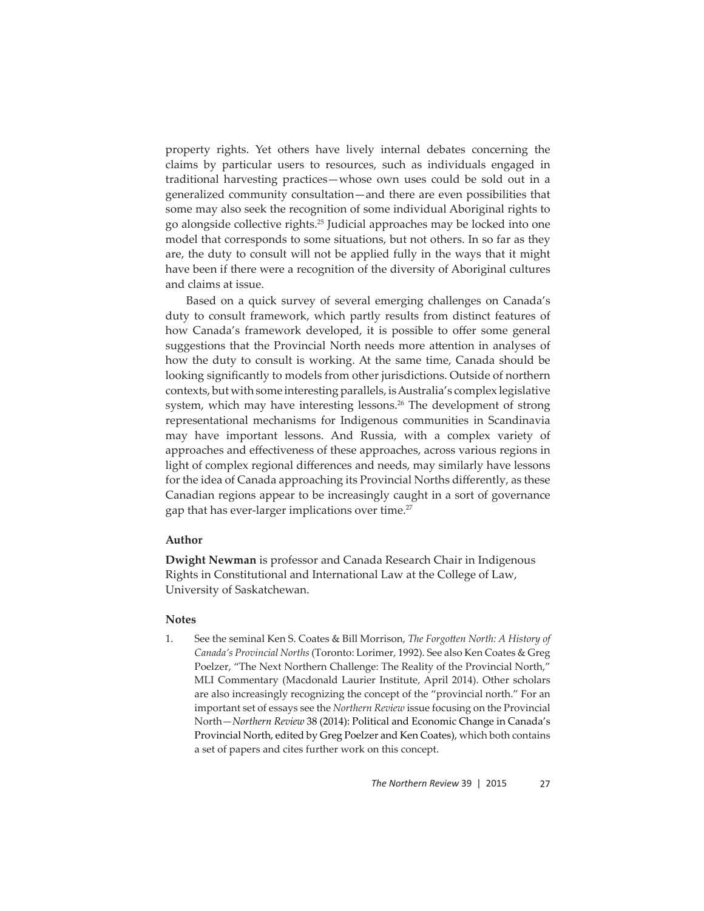property rights. Yet others have lively internal debates concerning the claims by particular users to resources, such as individuals engaged in traditional harvesting practices—whose own uses could be sold out in a generalized community consultation—and there are even possibilities that some may also seek the recognition of some individual Aboriginal rights to go alongside collective rights.25 Judicial approaches may be locked into one model that corresponds to some situations, but not others. In so far as they are, the duty to consult will not be applied fully in the ways that it might have been if there were a recognition of the diversity of Aboriginal cultures and claims at issue.

Based on a quick survey of several emerging challenges on Canada's duty to consult framework, which partly results from distinct features of how Canada's framework developed, it is possible to offer some general suggestions that the Provincial North needs more attention in analyses of how the duty to consult is working. At the same time, Canada should be looking significantly to models from other jurisdictions. Outside of northern contexts, but with some interesting parallels, is Australia's complex legislative system, which may have interesting lessons.<sup>26</sup> The development of strong representational mechanisms for Indigenous communities in Scandinavia may have important lessons. And Russia, with a complex variety of approaches and effectiveness of these approaches, across various regions in light of complex regional differences and needs, may similarly have lessons for the idea of Canada approaching its Provincial Norths differently, as these Canadian regions appear to be increasingly caught in a sort of governance gap that has ever-larger implications over time.<sup>27</sup>

## **Author**

**Dwight Newman** is professor and Canada Research Chair in Indigenous Rights in Constitutional and International Law at the College of Law, University of Saskatchewan.

## **Notes**

1. See the seminal Ken S. Coates & Bill Morrison, *The Forgotten North: A History of Canada's Provincial Norths* (Toronto: Lorimer, 1992). See also Ken Coates & Greg Poelzer, "The Next Northern Challenge: The Reality of the Provincial North," MLI Commentary (Macdonald Laurier Institute, April 2014). Other scholars are also increasingly recognizing the concept of the "provincial north." For an important set of essays see the *Northern Review* issue focusing on the Provincial North—*Northern Review* 38 (2014): Political and Economic Change in Canada's Provincial North, edited by Greg Poelzer and Ken Coates), which both contains a set of papers and cites further work on this concept.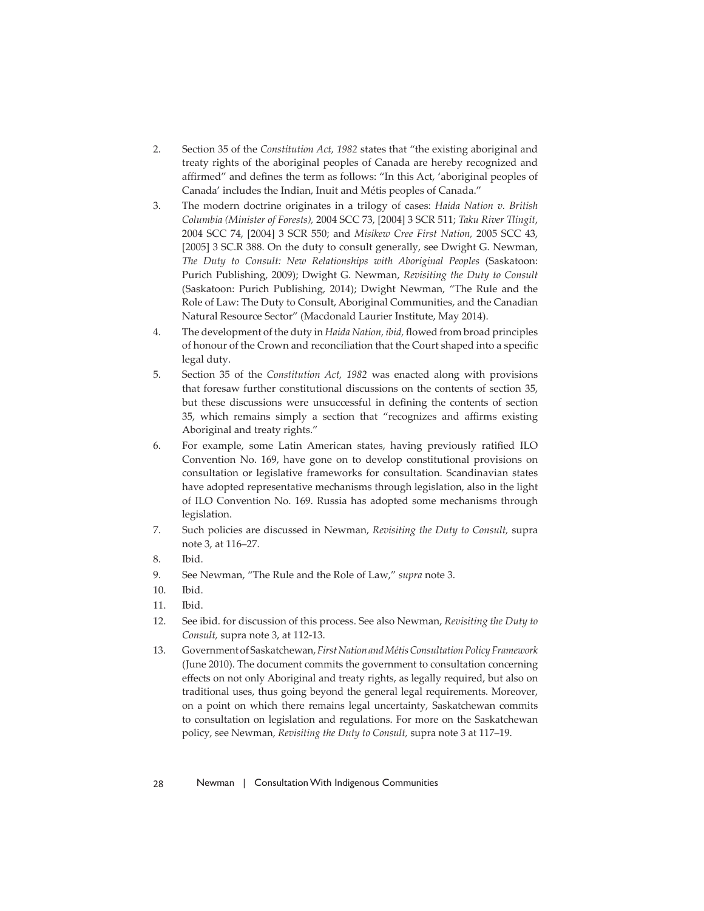- 2. Section 35 of the *Constitution Act, 1982* states that "the existing aboriginal and treaty rights of the aboriginal peoples of Canada are hereby recognized and affirmed" and defines the term as follows: "In this Act, 'aboriginal peoples of Canada' includes the Indian, Inuit and Métis peoples of Canada."
- 3. The modern doctrine originates in a trilogy of cases: *Haida Nation v. British Columbia (Minister of Forests),* 2004 SCC 73, [2004] 3 SCR 511; *Taku River Tlingit*, 2004 SCC 74, [2004] 3 SCR 550; and *Misikew Cree First Nation,* 2005 SCC 43, [2005] 3 SC.R 388. On the duty to consult generally, see Dwight G. Newman, *The Duty to Consult: New Relationships with Aboriginal Peoples* (Saskatoon: Purich Publishing, 2009); Dwight G. Newman, *Revisiting the Duty to Consult*  (Saskatoon: Purich Publishing, 2014); Dwight Newman, "The Rule and the Role of Law: The Duty to Consult, Aboriginal Communities, and the Canadian Natural Resource Sector" (Macdonald Laurier Institute, May 2014).
- 4. The development of the duty in *Haida Nation, ibid, flowed from broad principles* of honour of the Crown and reconciliation that the Court shaped into a specific legal duty.
- 5. Section 35 of the *Constitution Act, 1982* was enacted along with provisions that foresaw further constitutional discussions on the contents of section 35, but these discussions were unsuccessful in defining the contents of section 35, which remains simply a section that "recognizes and affirms existing Aboriginal and treaty rights."
- 6. For example, some Latin American states, having previously ratified ILO Convention No. 169, have gone on to develop constitutional provisions on consultation or legislative frameworks for consultation. Scandinavian states have adopted representative mechanisms through legislation, also in the light of ILO Convention No. 169. Russia has adopted some mechanisms through legislation.
- 7. Such policies are discussed in Newman, *Revisiting the Duty to Consult,* supra note 3, at 116–27.
- 8. Ibid.
- 9. See Newman, "The Rule and the Role of Law," *supra* note 3.
- 10. Ibid.
- 11. Ibid.
- 12. See ibid. for discussion of this process. See also Newman, *Revisiting the Duty to Consult,* supra note 3, at 112-13.
- 13. Government of Saskatchewan, *First Nation and Métis Consultation Policy Framework*  (June 2010). The document commits the government to consultation concerning effects on not only Aboriginal and treaty rights, as legally required, but also on traditional uses, thus going beyond the general legal requirements. Moreover, on a point on which there remains legal uncertainty, Saskatchewan commits to consultation on legislation and regulations. For more on the Saskatchewan policy, see Newman, *Revisiting the Duty to Consult,* supra note 3 at 117–19.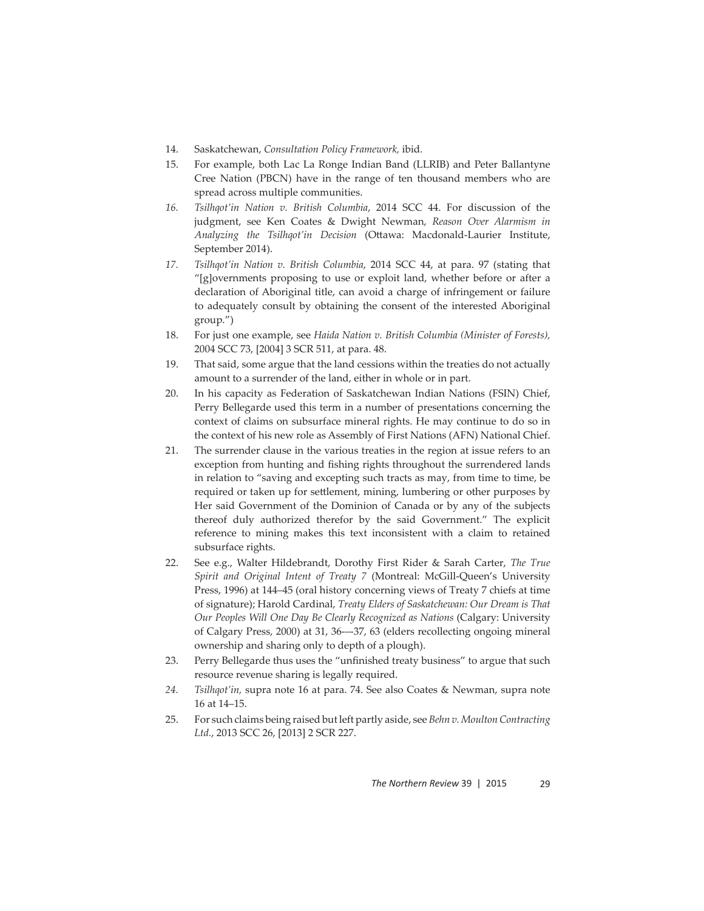- 14. Saskatchewan, *Consultation Policy Framework,* ibid*.*
- 15. For example, both Lac La Ronge Indian Band (LLRIB) and Peter Ballantyne Cree Nation (PBCN) have in the range of ten thousand members who are spread across multiple communities.
- *16. Tsilhqot'in Nation v. British Columbia*, 2014 SCC 44. For discussion of the judgment, see Ken Coates & Dwight Newman, *Reason Over Alarmism in*  Analyzing the Tsilhqot'in Decision (Ottawa: Macdonald-Laurier Institute, September 2014).
- *17. Tsilhqot'in Nation v. British Columbia*, 2014 SCC 44, at para. 97 (stating that "[g]overnments proposing to use or exploit land, whether before or after a declaration of Aboriginal title, can avoid a charge of infringement or failure to adequately consult by obtaining the consent of the interested Aboriginal group.")
- 18. For just one example, see *Haida Nation v. British Columbia (Minister of Forests),*  2004 SCC 73, [2004] 3 SCR 511, at para. 48.
- 19. That said, some argue that the land cessions within the treaties do not actually amount to a surrender of the land, either in whole or in part.
- 20. In his capacity as Federation of Saskatchewan Indian Nations (FSIN) Chief, Perry Bellegarde used this term in a number of presentations concerning the context of claims on subsurface mineral rights. He may continue to do so in the context of his new role as Assembly of First Nations (AFN) National Chief.
- 21. The surrender clause in the various treaties in the region at issue refers to an exception from hunting and fishing rights throughout the surrendered lands in relation to "saving and excepting such tracts as may, from time to time, be required or taken up for settlement, mining, lumbering or other purposes by Her said Government of the Dominion of Canada or by any of the subjects thereof duly authorized therefor by the said Government." The explicit reference to mining makes this text inconsistent with a claim to retained subsurface rights.
- 22. See e.g., Walter Hildebrandt, Dorothy First Rider & Sarah Carter, *The True Spirit and Original Intent of Treaty 7* (Montreal: McGill-Queen's University Press, 1996) at 144–45 (oral history concerning views of Treaty 7 chiefs at time of signature); Harold Cardinal, *Treaty Elders of Saskatchewan: Our Dream is That Our Peoples Will One Day Be Clearly Recognized as Nations* (Calgary: University of Calgary Press, 2000) at 31, 36-–-37, 63 (elders recollecting ongoing mineral ownership and sharing only to depth of a plough).
- 23. Perry Bellegarde thus uses the "unfinished treaty business" to argue that such resource revenue sharing is legally required.
- *24. Tsilhqot'in,* supra note 16 at para. 74. See also Coates & Newman, supra note 16 at 14–15.
- 25. For such claims being raised but left partly aside, see *Behn v. Moulton Contracting Ltd.*, 2013 SCC 26, [2013] 2 SCR 227.